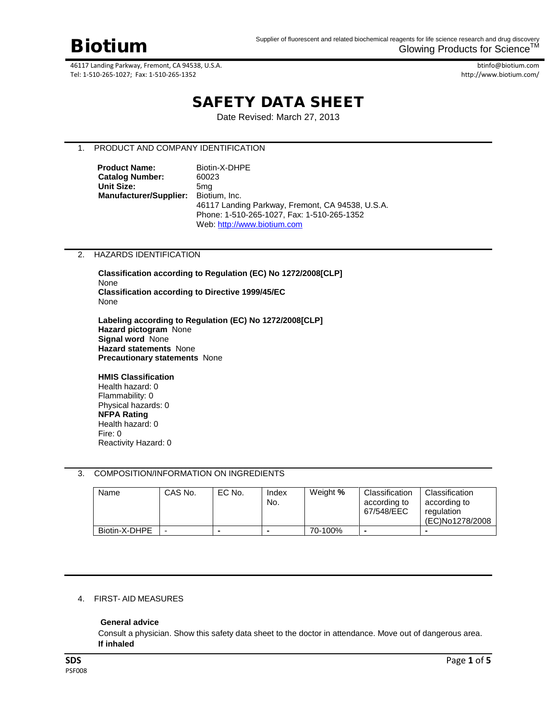

btinfo@biotium.com http://www.biotium.com/

# SAFETY DATA SHEET

Date Revised: March 27, 2013

# 1. PRODUCT AND COMPANY IDENTIFICATION

**Product Name:** Biotin-X-DHPE **Catalog Number:** 60023 **Unit Size:** 5mg **Manufacturer/Supplier:** Biotium, Inc. 46117 Landing Parkway, Fremont, CA 94538, U.S.A. Phone: 1-510-265-1027, Fax: 1-510-265-1352 Web[: http://www.biotium.com](http://www.biotium.com/)

# 2. HAZARDS IDENTIFICATION

**Classification according to Regulation (EC) No 1272/2008[CLP]** None **Classification according to Directive 1999/45/EC**  None

**Labeling according to Regulation (EC) No 1272/2008[CLP] Hazard pictogram** None **Signal word** None **Hazard statements** None **Precautionary statements** None

#### **HMIS Classification**

Health hazard: 0 Flammability: 0 Physical hazards: 0 **NFPA Rating** Health hazard: 0 Fire: 0 Reactivity Hazard: 0

# 3. COMPOSITION/INFORMATION ON INGREDIENTS

| Name          | CAS No. | EC No. | Index<br>No. | Weight % | Classification<br>according to<br>67/548/EEC | Classification<br>according to<br>regulation<br>(EC)No1278/2008 |
|---------------|---------|--------|--------------|----------|----------------------------------------------|-----------------------------------------------------------------|
| Biotin-X-DHPE |         |        |              | 70-100%  |                                              |                                                                 |

# 4. FIRST- AID MEASURES

# **General advice**

Consult a physician. Show this safety data sheet to the doctor in attendance. Move out of dangerous area. **If inhaled**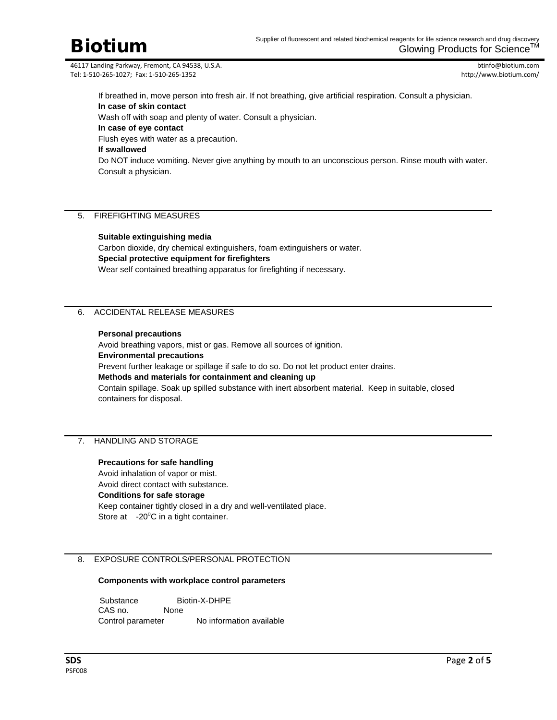btinfo@biotium.com http://www.biotium.com/

If breathed in, move person into fresh air. If not breathing, give artificial respiration. Consult a physician. **In case of skin contact**

Wash off with soap and plenty of water. Consult a physician.

**In case of eye contact**

Flush eyes with water as a precaution.

# **If swallowed**

Do NOT induce vomiting. Never give anything by mouth to an unconscious person. Rinse mouth with water. Consult a physician.

# 5. FIREFIGHTING MEASURES

# **Suitable extinguishing media**

Carbon dioxide, dry chemical extinguishers, foam extinguishers or water. **Special protective equipment for firefighters** Wear self contained breathing apparatus for firefighting if necessary.

# 6. ACCIDENTAL RELEASE MEASURES

# **Personal precautions**

Avoid breathing vapors, mist or gas. Remove all sources of ignition. **Environmental precautions** Prevent further leakage or spillage if safe to do so. Do not let product enter drains. **Methods and materials for containment and cleaning up** Contain spillage. Soak up spilled substance with inert absorbent material. Keep in suitable, closed containers for disposal.

# 7. HANDLING AND STORAGE

# **Precautions for safe handling**

Avoid inhalation of vapor or mist. Avoid direct contact with substance. **Conditions for safe storage** Keep container tightly closed in a dry and well-ventilated place. Store at  $-20^{\circ}$ C in a tight container.

# 8. EXPOSURE CONTROLS/PERSONAL PROTECTION

# **Components with workplace control parameters**

Substance Biotin-X-DHPE<br>CAS no. None CAS no. Control parameter No information available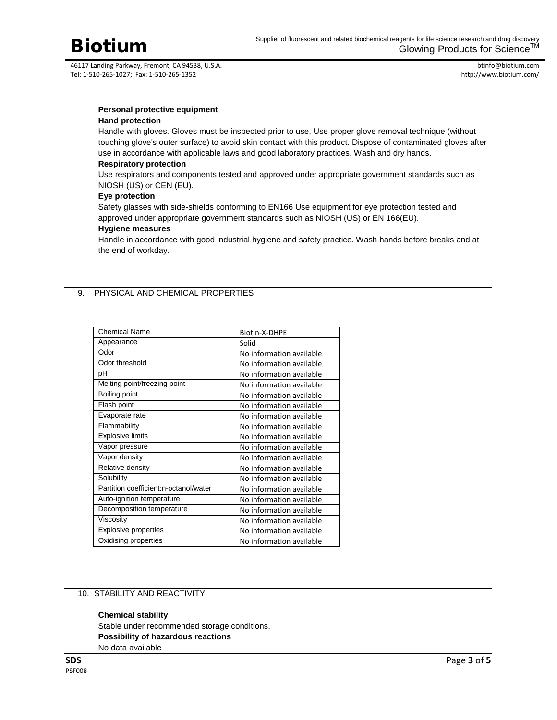

btinfo@biotium.com http://www.biotium.com/

# **Personal protective equipment**

# **Hand protection**

Handle with gloves. Gloves must be inspected prior to use. Use proper glove removal technique (without touching glove's outer surface) to avoid skin contact with this product. Dispose of contaminated gloves after use in accordance with applicable laws and good laboratory practices. Wash and dry hands.

#### **Respiratory protection**

Use respirators and components tested and approved under appropriate government standards such as NIOSH (US) or CEN (EU).

# **Eye protection**

Safety glasses with side-shields conforming to EN166 Use equipment for eye protection tested and approved under appropriate government standards such as NIOSH (US) or EN 166(EU).

# **Hygiene measures**

Handle in accordance with good industrial hygiene and safety practice. Wash hands before breaks and at the end of workday.

# 9. PHYSICAL AND CHEMICAL PROPERTIES

| <b>Chemical Name</b>                  | Biotin-X-DHPE            |  |  |
|---------------------------------------|--------------------------|--|--|
| Appearance                            | Solid                    |  |  |
| Odor                                  | No information available |  |  |
| Odor threshold                        | No information available |  |  |
| рH                                    | No information available |  |  |
| Melting point/freezing point          | No information available |  |  |
| Boiling point                         | No information available |  |  |
| Flash point                           | No information available |  |  |
| Evaporate rate                        | No information available |  |  |
| Flammability                          | No information available |  |  |
| <b>Explosive limits</b>               | No information available |  |  |
| Vapor pressure                        | No information available |  |  |
| Vapor density                         | No information available |  |  |
| Relative density                      | No information available |  |  |
| Solubility                            | No information available |  |  |
| Partition coefficient:n-octanol/water | No information available |  |  |
| Auto-ignition temperature             | No information available |  |  |
| Decomposition temperature             | No information available |  |  |
| Viscosity                             | No information available |  |  |
| <b>Explosive properties</b>           | No information available |  |  |
| Oxidising properties                  | No information available |  |  |

# 10. STABILITY AND REACTIVITY

**Chemical stability** Stable under recommended storage conditions. **Possibility of hazardous reactions** No data available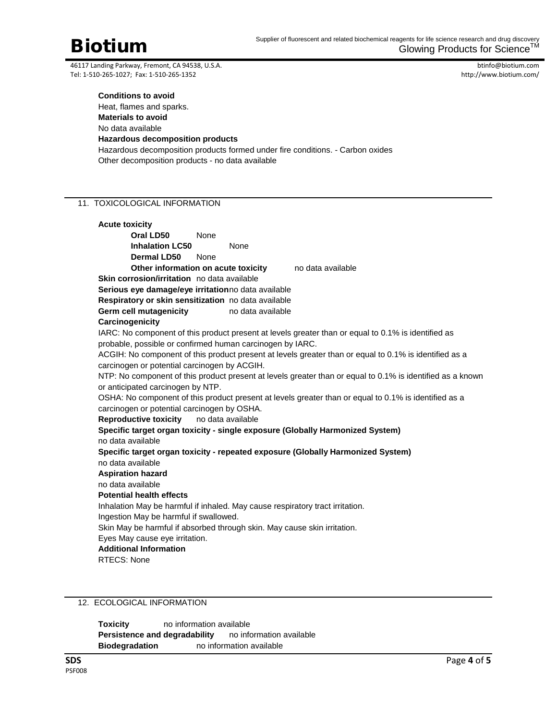btinfo@biotium.com http://www.biotium.com/

#### **Conditions to avoid**

Heat, flames and sparks. **Materials to avoid** No data available **Hazardous decomposition products**

Hazardous decomposition products formed under fire conditions. - Carbon oxides Other decomposition products - no data available

# 11. TOXICOLOGICAL INFORMATION

**Acute toxicity Oral LD50** None **Inhalation LC50** None **Dermal LD50** None **Other information on acute toxicity** no data available **Skin corrosion/irritation** no data available **Serious eye damage/eye irritation**no data available **Respiratory or skin sensitization** no data available **Germ cell mutagenicity** no data available **Carcinogenicity** IARC: No component of this product present at levels greater than or equal to 0.1% is identified as probable, possible or confirmed human carcinogen by IARC. ACGIH: No component of this product present at levels greater than or equal to 0.1% is identified as a carcinogen or potential carcinogen by ACGIH. NTP: No component of this product present at levels greater than or equal to 0.1% is identified as a known or anticipated carcinogen by NTP. OSHA: No component of this product present at levels greater than or equal to 0.1% is identified as a carcinogen or potential carcinogen by OSHA. **Reproductive toxicity** no data available **Specific target organ toxicity - single exposure (Globally Harmonized System)** no data available **Specific target organ toxicity - repeated exposure (Globally Harmonized System)** no data available **Aspiration hazard** no data available **Potential health effects** Inhalation May be harmful if inhaled. May cause respiratory tract irritation. Ingestion May be harmful if swallowed. Skin May be harmful if absorbed through skin. May cause skin irritation. Eyes May cause eye irritation. **Additional Information** RTECS: None

# 12. ECOLOGICAL INFORMATION

**Toxicity** no information available **Persistence and degradability** no information available **Biodegradation** no information available